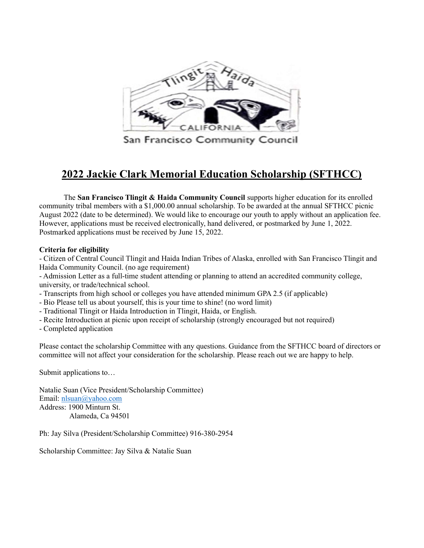

## 2022 Jackie Clark Memorial Education Scholarship (SFTHCC)

The San Francisco Tlingit & Haida Community Council supports higher education for its enrolled community tribal members with a \$1,000.00 annual scholarship. To be awarded at the annual SFTHCC picnic August 2022 (date to be determined). We would like to encourage our youth to apply without an application fee. However, applications must be received electronically, hand delivered, or postmarked by June 1, 2022. Postmarked applications must be received by June 15, 2022.

## Criteria for eligibility

- Citizen of Central Council Tlingit and Haida Indian Tribes of Alaska, enrolled with San Francisco Tlingit and Haida Community Council. (no age requirement)

- Admission Letter as a full-time student attending or planning to attend an accredited community college, university, or trade/technical school.

- Transcripts from high school or colleges you have attended minimum GPA 2.5 (if applicable)
- Bio Please tell us about yourself, this is your time to shine! (no word limit)
- Traditional Tlingit or Haida Introduction in Tlingit, Haida, or English.
- Recite Introduction at picnic upon receipt of scholarship (strongly encouraged but not required)
- Completed application

Please contact the scholarship Committee with any questions. Guidance from the SFTHCC board of directors or committee will not affect your consideration for the scholarship. Please reach out we are happy to help.

Submit applications to…

Natalie Suan (Vice President/Scholarship Committee) Email: nlsuan@yahoo.com Address: 1900 Minturn St. Alameda, Ca 94501

Ph: Jay Silva (President/Scholarship Committee) 916-380-2954

Scholarship Committee: Jay Silva & Natalie Suan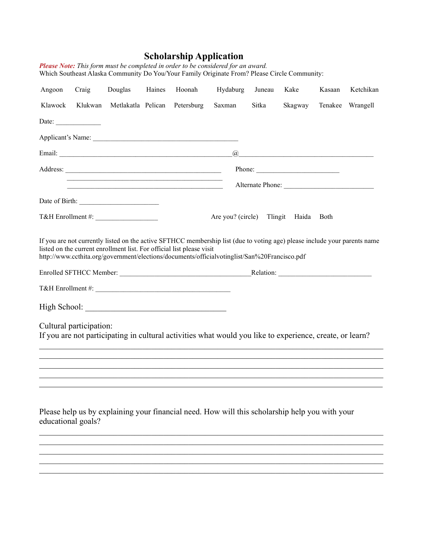## Scholarship Application

|                    |                         |                    |        |                                                                                                                       | <b>I lease</b> Twie. This form must be completed in order to be considered for an award.<br>Which Southeast Alaska Community Do You/Your Family Originate From? Please Circle Community: |        |                                                                                                                                                                                                                                                                                                                                                                    |             |                  |
|--------------------|-------------------------|--------------------|--------|-----------------------------------------------------------------------------------------------------------------------|------------------------------------------------------------------------------------------------------------------------------------------------------------------------------------------|--------|--------------------------------------------------------------------------------------------------------------------------------------------------------------------------------------------------------------------------------------------------------------------------------------------------------------------------------------------------------------------|-------------|------------------|
| Angoon             | Craig                   | Douglas            | Haines | Hoonah                                                                                                                | Hydaburg                                                                                                                                                                                 | Juneau | Kake                                                                                                                                                                                                                                                                                                                                                               | Kasaan      | Ketchikan        |
| Klawock            | Klukwan                 | Metlakatla Pelican |        | Petersburg                                                                                                            | Saxman                                                                                                                                                                                   | Sitka  | Skagway                                                                                                                                                                                                                                                                                                                                                            |             | Tenakee Wrangell |
|                    | Date:                   |                    |        |                                                                                                                       |                                                                                                                                                                                          |        |                                                                                                                                                                                                                                                                                                                                                                    |             |                  |
|                    |                         |                    |        |                                                                                                                       |                                                                                                                                                                                          |        |                                                                                                                                                                                                                                                                                                                                                                    |             |                  |
|                    |                         |                    |        |                                                                                                                       |                                                                                                                                                                                          |        | $\begin{picture}(150,10) \put(0,0){\vector(1,0){100}} \put(15,0){\vector(1,0){100}} \put(15,0){\vector(1,0){100}} \put(15,0){\vector(1,0){100}} \put(15,0){\vector(1,0){100}} \put(15,0){\vector(1,0){100}} \put(15,0){\vector(1,0){100}} \put(15,0){\vector(1,0){100}} \put(15,0){\vector(1,0){100}} \put(15,0){\vector(1,0){100}} \put(15,0){\vector(1,0){100}}$ |             |                  |
|                    |                         |                    |        |                                                                                                                       |                                                                                                                                                                                          |        | Phone:                                                                                                                                                                                                                                                                                                                                                             |             |                  |
|                    |                         |                    |        | <u> 1989 - Johann Barn, mars ann an t-Amhain an t-Amhain an t-Amhain an t-Amhain an t-Amhain an t-Amhain an t-Amh</u> |                                                                                                                                                                                          |        |                                                                                                                                                                                                                                                                                                                                                                    |             |                  |
|                    |                         |                    |        |                                                                                                                       |                                                                                                                                                                                          |        |                                                                                                                                                                                                                                                                                                                                                                    |             |                  |
|                    |                         |                    |        |                                                                                                                       | Are you? (circle) Tlingit Haida                                                                                                                                                          |        |                                                                                                                                                                                                                                                                                                                                                                    | <b>Both</b> |                  |
|                    | Cultural participation: |                    |        |                                                                                                                       |                                                                                                                                                                                          |        |                                                                                                                                                                                                                                                                                                                                                                    |             |                  |
|                    |                         |                    |        |                                                                                                                       | If you are not participating in cultural activities what would you like to experience, create, or learn?                                                                                 |        |                                                                                                                                                                                                                                                                                                                                                                    |             |                  |
|                    |                         |                    |        |                                                                                                                       |                                                                                                                                                                                          |        |                                                                                                                                                                                                                                                                                                                                                                    |             |                  |
| educational goals? |                         |                    |        |                                                                                                                       | Please help us by explaining your financial need. How will this scholarship help you with your                                                                                           |        |                                                                                                                                                                                                                                                                                                                                                                    |             |                  |
|                    |                         |                    |        |                                                                                                                       |                                                                                                                                                                                          |        |                                                                                                                                                                                                                                                                                                                                                                    |             |                  |

Please Note: This form must be completed in order to be considered for an award.